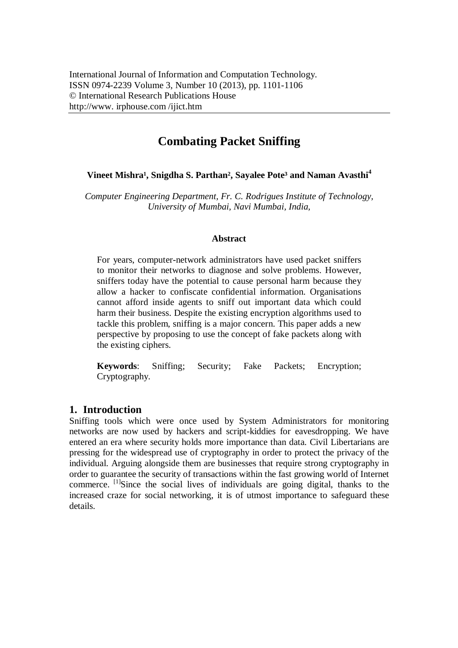# **Combating Packet Sniffing**

#### **Vineet Mishra<sup>1</sup>, Snigdha S. Parthan<sup>2</sup>, Sayalee Pote<sup>3</sup> and Naman Avasthi<sup>4</sup>**

*Computer Engineering Department, Fr. C. Rodrigues Institute of Technology, University of Mumbai, Navi Mumbai, India,*

#### **Abstract**

For years, computer-network administrators have used packet sniffers to monitor their networks to diagnose and solve problems. However, sniffers today have the potential to cause personal harm because they allow a hacker to confiscate confidential information. Organisations cannot afford inside agents to sniff out important data which could harm their business. Despite the existing encryption algorithms used to tackle this problem, sniffing is a major concern. This paper adds a new perspective by proposing to use the concept of fake packets along with the existing ciphers.

**Keywords**: Sniffing; Security; Fake Packets; Encryption; Cryptography.

## **1. Introduction**

Sniffing tools which were once used by System Administrators for monitoring networks are now used by hackers and script-kiddies for eavesdropping. We have entered an era where security holds more importance than data. Civil Libertarians are pressing for the widespread use of cryptography in order to protect the privacy of the individual. Arguing alongside them are businesses that require strong cryptography in order to guarantee the security of transactions within the fast growing world of Internet commerce.  $\left[1\right]$ Since the social lives of individuals are going digital, thanks to the increased craze for social networking, it is of utmost importance to safeguard these details.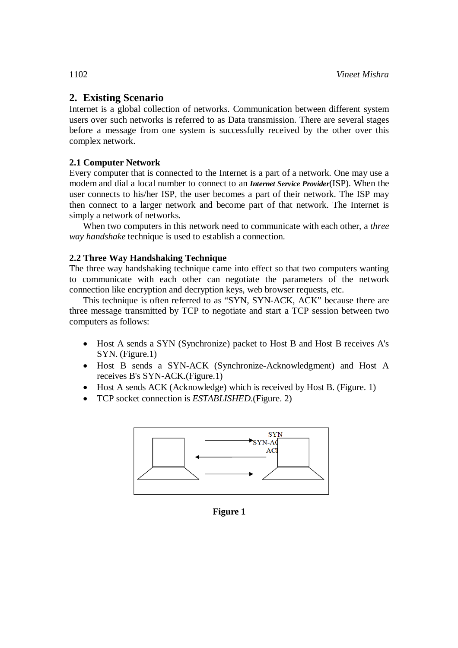## **2. Existing Scenario**

Internet is a global collection of networks. Communication between different system users over such networks is referred to as Data transmission. There are several stages before a message from one system is successfully received by the other over this complex network.

## **2.1 Computer Network**

Every computer that is connected to the Internet is a part of a network. One may use a modem and dial a local number to connect to an *Internet Service Provider*(ISP). When the user connects to his/her ISP, the user becomes a part of their network. The ISP may then connect to a larger network and become part of that network. The Internet is simply a network of networks.

When two computers in this network need to communicate with each other, a *three way handshake* technique is used to establish a connection.

## **2.2 Three Way Handshaking Technique**

The three way handshaking technique came into effect so that two computers wanting to communicate with each other can negotiate the parameters of the network connection like encryption and decryption keys, web browser requests, etc.

This technique is often referred to as "SYN, SYN-ACK, ACK" because there are three message transmitted by TCP to negotiate and start a TCP session between two computers as follows:

- Host A sends a SYN (Synchronize) packet to Host B and Host B receives A's SYN. (Figure.1)
- Host B sends a SYN-ACK (Synchronize-Acknowledgment) and Host A receives B's SYN-ACK.(Figure.1)
- Host A sends ACK (Acknowledge) which is received by Host B. (Figure. 1)
- TCP socket connection is *ESTABLISHED*.(Figure. 2)



**Figure 1**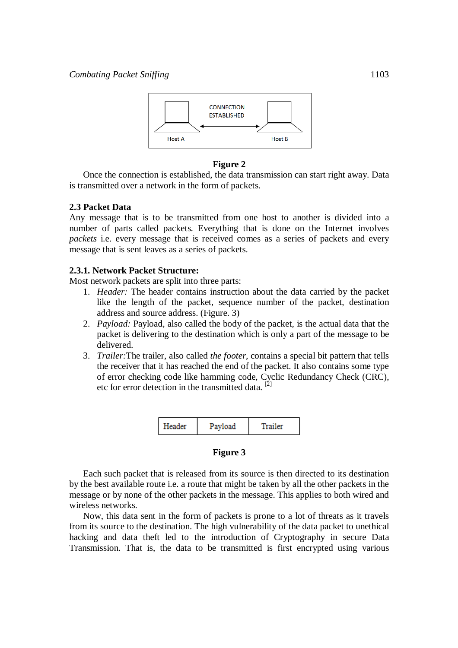

#### **Figure 2**

Once the connection is established, the data transmission can start right away. Data is transmitted over a network in the form of packets.

#### **2.3 Packet Data**

Any message that is to be transmitted from one host to another is divided into a number of parts called packets. Everything that is done on the Internet involves *packets* i.e. every message that is received comes as a series of packets and every message that is sent leaves as a series of packets.

#### **2.3.1. Network Packet Structure:**

Most network packets are split into three parts:

- 1. *Header:* The header contains instruction about the data carried by the packet like the length of the packet, sequence number of the packet, destination address and source address. (Figure. 3)
- 2. *Payload:* Payload, also called the body of the packet, is the actual data that the packet is delivering to the destination which is only a part of the message to be delivered.
- 3. *Trailer:*The trailer, also called *the footer,* contains a special bit pattern that tells the receiver that it has reached the end of the packet. It also contains some type of error checking code like hamming code, Cyclic Redundancy Check (CRC), etc for error detection in the transmitted data.<sup>[2]</sup>



#### **Figure 3**

Each such packet that is released from its source is then directed to its destination by the best available route i.e. a route that might be taken by all the other packets in the message or by none of the other packets in the message. This applies to both wired and wireless networks.

Now, this data sent in the form of packets is prone to a lot of threats as it travels from its source to the destination. The high vulnerability of the data packet to unethical hacking and data theft led to the introduction of Cryptography in secure Data Transmission. That is, the data to be transmitted is first encrypted using various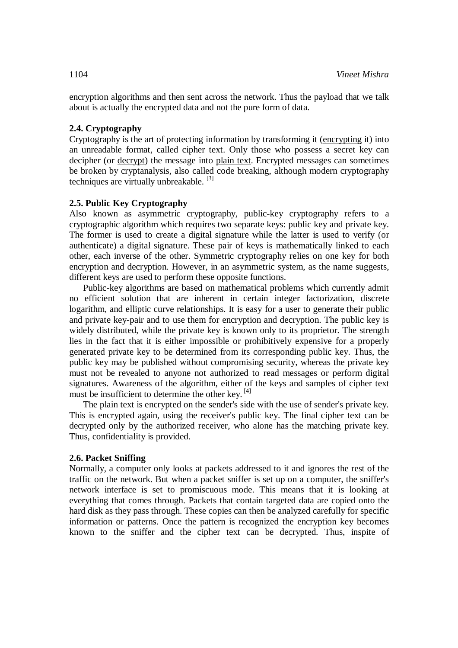encryption algorithms and then sent across the network. Thus the payload that we talk about is actually the encrypted data and not the pure form of data.

#### **2.4. Cryptography**

Cryptography is the art of protecting information by transforming it (encrypting it) into an unreadable format, called cipher text. Only those who possess a secret key can decipher (or decrypt) the message into plain text. Encrypted messages can sometimes be broken by cryptanalysis, also called code breaking, although modern cryptography techniques are virtually unbreakable.<sup>[3]</sup>

#### **2.5. Public Key Cryptography**

Also known as asymmetric cryptography, public-key cryptography refers to a cryptographic algorithm which requires two separate keys: public key and private key. The former is used to create a digital signature while the latter is used to verify (or authenticate) a digital signature. These pair of keys is mathematically linked to each other, each inverse of the other. Symmetric cryptography relies on one key for both encryption and decryption. However, in an asymmetric system, as the name suggests, different keys are used to perform these opposite functions.

Public-key algorithms are based on mathematical problems which currently admit no efficient solution that are inherent in certain integer factorization, discrete logarithm, and elliptic curve relationships. It is easy for a user to generate their public and private key-pair and to use them for encryption and decryption. The public key is widely distributed, while the private key is known only to its proprietor. The strength lies in the fact that it is either impossible or prohibitively expensive for a properly generated private key to be determined from its corresponding public key. Thus, the public key may be published without compromising security, whereas the private key must not be revealed to anyone not authorized to read messages or perform digital signatures. Awareness of the algorithm, either of the keys and samples of cipher text must be insufficient to determine the other key. [4]

The plain text is encrypted on the sender's side with the use of sender's private key. This is encrypted again, using the receiver's public key. The final cipher text can be decrypted only by the authorized receiver, who alone has the matching private key. Thus, confidentiality is provided.

#### **2.6. Packet Sniffing**

Normally, a computer only looks at packets addressed to it and ignores the rest of the traffic on the network. But when a packet sniffer is set up on a computer, the sniffer's network interface is set to promiscuous mode. This means that it is looking at everything that comes through. Packets that contain targeted data are copied onto the hard disk as they pass through. These copies can then be analyzed carefully for specific information or patterns. Once the pattern is recognized the encryption key becomes known to the sniffer and the cipher text can be decrypted. Thus, inspite of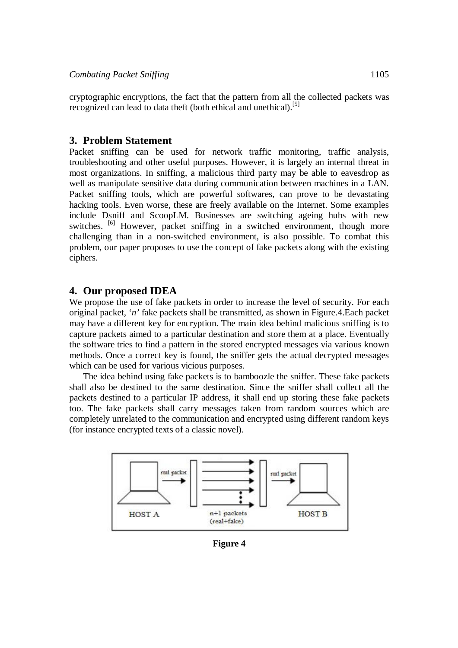cryptographic encryptions, the fact that the pattern from all the collected packets was recognized can lead to data theft (both ethical and unethical).<sup>[5]</sup>

#### **3. Problem Statement**

Packet sniffing can be used for network traffic monitoring, traffic analysis, troubleshooting and other useful purposes. However, it is largely an internal threat in most organizations. In sniffing, a malicious third party may be able to eavesdrop as well as manipulate sensitive data during communication between machines in a LAN. Packet sniffing tools, which are powerful softwares, can prove to be devastating hacking tools. Even worse, these are freely available on the Internet. Some examples include Dsniff and ScoopLM. Businesses are switching ageing hubs with new switches. <sup>[6]</sup> However, packet sniffing in a switched environment, though more challenging than in a non-switched environment, is also possible. To combat this problem, our paper proposes to use the concept of fake packets along with the existing ciphers.

#### **4. Our proposed IDEA**

We propose the use of fake packets in order to increase the level of security. For each original packet, '*n'* fake packets shall be transmitted, as shown in Figure.4.Each packet may have a different key for encryption. The main idea behind malicious sniffing is to capture packets aimed to a particular destination and store them at a place. Eventually the software tries to find a pattern in the stored encrypted messages via various known methods. Once a correct key is found, the sniffer gets the actual decrypted messages which can be used for various vicious purposes.

The idea behind using fake packets is to bamboozle the sniffer. These fake packets shall also be destined to the same destination. Since the sniffer shall collect all the packets destined to a particular IP address, it shall end up storing these fake packets too. The fake packets shall carry messages taken from random sources which are completely unrelated to the communication and encrypted using different random keys (for instance encrypted texts of a classic novel).